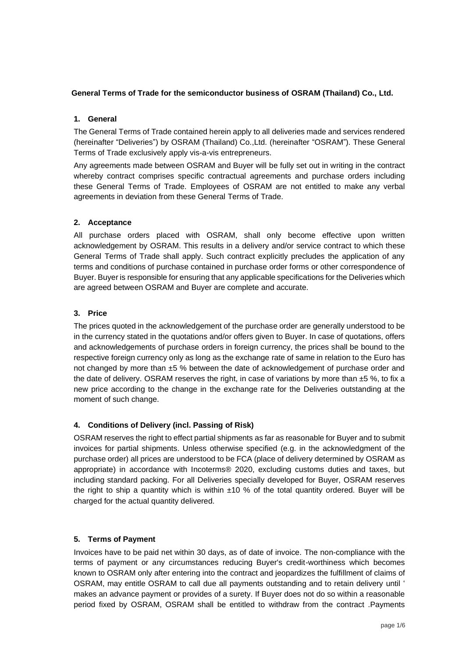## **General Terms of Trade for the semiconductor business of OSRAM (Thailand) Co., Ltd.**

#### **1. General**

The General Terms of Trade contained herein apply to all deliveries made and services rendered (hereinafter "Deliveries") by OSRAM (Thailand) Co.,Ltd. (hereinafter "OSRAM"). These General Terms of Trade exclusively apply vis-a-vis entrepreneurs.

Any agreements made between OSRAM and Buyer will be fully set out in writing in the contract whereby contract comprises specific contractual agreements and purchase orders including these General Terms of Trade. Employees of OSRAM are not entitled to make any verbal agreements in deviation from these General Terms of Trade.

## **2. Acceptance**

All purchase orders placed with OSRAM, shall only become effective upon written acknowledgement by OSRAM. This results in a delivery and/or service contract to which these General Terms of Trade shall apply. Such contract explicitly precludes the application of any terms and conditions of purchase contained in purchase order forms or other correspondence of Buyer. Buyer is responsible for ensuring that any applicable specifications for the Deliveries which are agreed between OSRAM and Buyer are complete and accurate.

## **3. Price**

The prices quoted in the acknowledgement of the purchase order are generally understood to be in the currency stated in the quotations and/or offers given to Buyer. In case of quotations, offers and acknowledgements of purchase orders in foreign currency, the prices shall be bound to the respective foreign currency only as long as the exchange rate of same in relation to the Euro has not changed by more than ±5 % between the date of acknowledgement of purchase order and the date of delivery. OSRAM reserves the right, in case of variations by more than  $±5$  %, to fix a new price according to the change in the exchange rate for the Deliveries outstanding at the moment of such change.

# **4. Conditions of Delivery (incl. Passing of Risk)**

OSRAM reserves the right to effect partial shipments as far as reasonable for Buyer and to submit invoices for partial shipments. Unless otherwise specified (e.g. in the acknowledgment of the purchase order) all prices are understood to be FCA (place of delivery determined by OSRAM as appropriate) in accordance with Incoterms® 2020, excluding customs duties and taxes, but including standard packing. For all Deliveries specially developed for Buyer, OSRAM reserves the right to ship a quantity which is within  $\pm 10$  % of the total quantity ordered. Buyer will be charged for the actual quantity delivered.

#### **5. Terms of Payment**

Invoices have to be paid net within 30 days, as of date of invoice. The non-compliance with the terms of payment or any circumstances reducing Buyer's credit-worthiness which becomes known to OSRAM only after entering into the contract and jeopardizes the fulfillment of claims of OSRAM, may entitle OSRAM to call due all payments outstanding and to retain delivery until ' makes an advance payment or provides of a surety. If Buyer does not do so within a reasonable period fixed by OSRAM, OSRAM shall be entitled to withdraw from the contract .Payments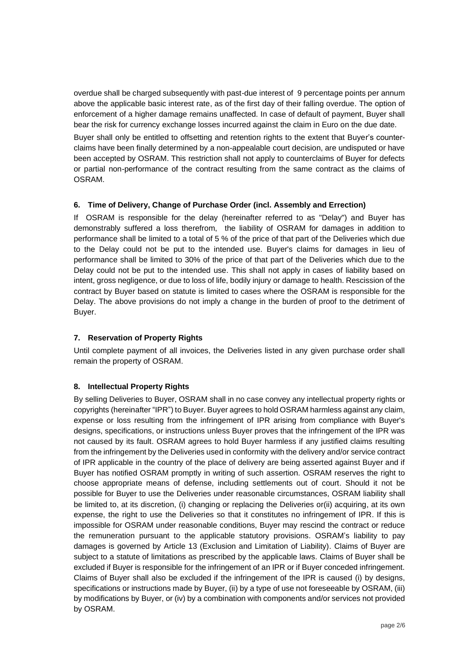overdue shall be charged subsequently with past-due interest of 9 percentage points per annum above the applicable basic interest rate, as of the first day of their falling overdue. The option of enforcement of a higher damage remains unaffected. In case of default of payment, Buyer shall bear the risk for currency exchange losses incurred against the claim in Euro on the due date.

Buyer shall only be entitled to offsetting and retention rights to the extent that Buyer's counterclaims have been finally determined by a non-appealable court decision, are undisputed or have been accepted by OSRAM. This restriction shall not apply to counterclaims of Buyer for defects or partial non-performance of the contract resulting from the same contract as the claims of OSRAM.

## **6. Time of Delivery, Change of Purchase Order (incl. Assembly and Errection)**

If OSRAM is responsible for the delay (hereinafter referred to as "Delay") and Buyer has demonstrably suffered a loss therefrom, the liability of OSRAM for damages in addition to performance shall be limited to a total of 5 % of the price of that part of the Deliveries which due to the Delay could not be put to the intended use. Buyer's claims for damages in lieu of performance shall be limited to 30% of the price of that part of the Deliveries which due to the Delay could not be put to the intended use. This shall not apply in cases of liability based on intent, gross negligence, or due to loss of life, bodily injury or damage to health. Rescission of the contract by Buyer based on statute is limited to cases where the OSRAM is responsible for the Delay. The above provisions do not imply a change in the burden of proof to the detriment of Buyer.

# **7. Reservation of Property Rights**

Until complete payment of all invoices, the Deliveries listed in any given purchase order shall remain the property of OSRAM.

#### **8. Intellectual Property Rights**

By selling Deliveries to Buyer, OSRAM shall in no case convey any intellectual property rights or copyrights (hereinafter "IPR") to Buyer. Buyer agrees to hold OSRAM harmless against any claim, expense or loss resulting from the infringement of IPR arising from compliance with Buyer's designs, specifications, or instructions unless Buyer proves that the infringement of the IPR was not caused by its fault. OSRAM agrees to hold Buyer harmless if any justified claims resulting from the infringement by the Deliveries used in conformity with the delivery and/or service contract of IPR applicable in the country of the place of delivery are being asserted against Buyer and if Buyer has notified OSRAM promptly in writing of such assertion. OSRAM reserves the right to choose appropriate means of defense, including settlements out of court. Should it not be possible for Buyer to use the Deliveries under reasonable circumstances, OSRAM liability shall be limited to, at its discretion, (i) changing or replacing the Deliveries or(ii) acquiring, at its own expense, the right to use the Deliveries so that it constitutes no infringement of IPR. If this is impossible for OSRAM under reasonable conditions, Buyer may rescind the contract or reduce the remuneration pursuant to the applicable statutory provisions. OSRAM's liability to pay damages is governed by Article 13 (Exclusion and Limitation of Liability). Claims of Buyer are subject to a statute of limitations as prescribed by the applicable laws. Claims of Buyer shall be excluded if Buyer is responsible for the infringement of an IPR or if Buyer conceded infringement. Claims of Buyer shall also be excluded if the infringement of the IPR is caused (i) by designs, specifications or instructions made by Buyer, (ii) by a type of use not foreseeable by OSRAM, (iii) by modifications by Buyer, or (iv) by a combination with components and/or services not provided by OSRAM.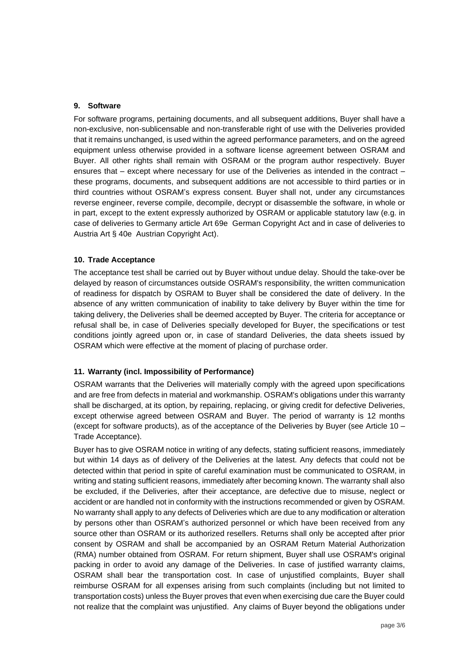#### **9. Software**

For software programs, pertaining documents, and all subsequent additions, Buyer shall have a non-exclusive, non-sublicensable and non-transferable right of use with the Deliveries provided that it remains unchanged, is used within the agreed performance parameters, and on the agreed equipment unless otherwise provided in a software license agreement between OSRAM and Buyer. All other rights shall remain with OSRAM or the program author respectively. Buyer ensures that – except where necessary for use of the Deliveries as intended in the contract – these programs, documents, and subsequent additions are not accessible to third parties or in third countries without OSRAM's express consent. Buyer shall not, under any circumstances reverse engineer, reverse compile, decompile, decrypt or disassemble the software, in whole or in part, except to the extent expressly authorized by OSRAM or applicable statutory law (e.g. in case of deliveries to Germany article Art 69e German Copyright Act and in case of deliveries to Austria Art § 40e Austrian Copyright Act).

## **10. Trade Acceptance**

The acceptance test shall be carried out by Buyer without undue delay. Should the take-over be delayed by reason of circumstances outside OSRAM's responsibility, the written communication of readiness for dispatch by OSRAM to Buyer shall be considered the date of delivery. In the absence of any written communication of inability to take delivery by Buyer within the time for taking delivery, the Deliveries shall be deemed accepted by Buyer. The criteria for acceptance or refusal shall be, in case of Deliveries specially developed for Buyer, the specifications or test conditions jointly agreed upon or, in case of standard Deliveries, the data sheets issued by OSRAM which were effective at the moment of placing of purchase order.

#### **11. Warranty (incl. Impossibility of Performance)**

OSRAM warrants that the Deliveries will materially comply with the agreed upon specifications and are free from defects in material and workmanship. OSRAM's obligations under this warranty shall be discharged, at its option, by repairing, replacing, or giving credit for defective Deliveries, except otherwise agreed between OSRAM and Buyer. The period of warranty is 12 months (except for software products), as of the acceptance of the Deliveries by Buyer (see Article 10 – Trade Acceptance).

Buyer has to give OSRAM notice in writing of any defects, stating sufficient reasons, immediately but within 14 days as of delivery of the Deliveries at the latest. Any defects that could not be detected within that period in spite of careful examination must be communicated to OSRAM, in writing and stating sufficient reasons, immediately after becoming known. The warranty shall also be excluded, if the Deliveries, after their acceptance, are defective due to misuse, neglect or accident or are handled not in conformity with the instructions recommended or given by OSRAM. No warranty shall apply to any defects of Deliveries which are due to any modification or alteration by persons other than OSRAM's authorized personnel or which have been received from any source other than OSRAM or its authorized resellers. Returns shall only be accepted after prior consent by OSRAM and shall be accompanied by an OSRAM Return Material Authorization (RMA) number obtained from OSRAM. For return shipment, Buyer shall use OSRAM's original packing in order to avoid any damage of the Deliveries. In case of justified warranty claims, OSRAM shall bear the transportation cost. In case of unjustified complaints, Buyer shall reimburse OSRAM for all expenses arising from such complaints (including but not limited to transportation costs) unless the Buyer proves that even when exercising due care the Buyer could not realize that the complaint was unjustified. Any claims of Buyer beyond the obligations under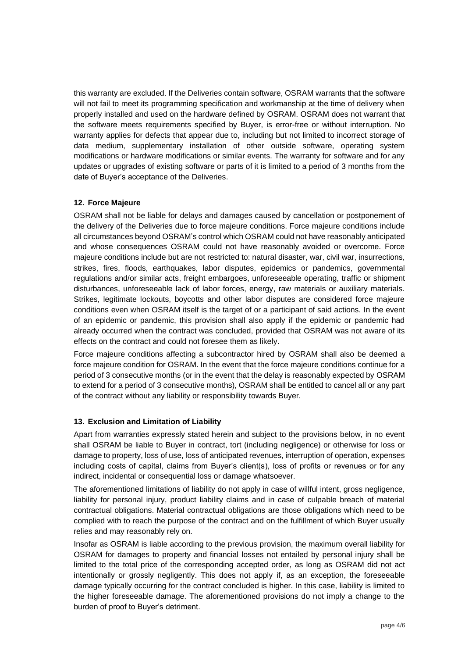this warranty are excluded. If the Deliveries contain software, OSRAM warrants that the software will not fail to meet its programming specification and workmanship at the time of delivery when properly installed and used on the hardware defined by OSRAM. OSRAM does not warrant that the software meets requirements specified by Buyer, is error-free or without interruption. No warranty applies for defects that appear due to, including but not limited to incorrect storage of data medium, supplementary installation of other outside software, operating system modifications or hardware modifications or similar events. The warranty for software and for any updates or upgrades of existing software or parts of it is limited to a period of 3 months from the date of Buyer's acceptance of the Deliveries.

# **12. Force Majeure**

OSRAM shall not be liable for delays and damages caused by cancellation or postponement of the delivery of the Deliveries due to force majeure conditions. Force majeure conditions include all circumstances beyond OSRAM's control which OSRAM could not have reasonably anticipated and whose consequences OSRAM could not have reasonably avoided or overcome. Force majeure conditions include but are not restricted to: natural disaster, war, civil war, insurrections, strikes, fires, floods, earthquakes, labor disputes, epidemics or pandemics, governmental regulations and/or similar acts, freight embargoes, unforeseeable operating, traffic or shipment disturbances, unforeseeable lack of labor forces, energy, raw materials or auxiliary materials. Strikes, legitimate lockouts, boycotts and other labor disputes are considered force majeure conditions even when OSRAM itself is the target of or a participant of said actions. In the event of an epidemic or pandemic, this provision shall also apply if the epidemic or pandemic had already occurred when the contract was concluded, provided that OSRAM was not aware of its effects on the contract and could not foresee them as likely.

Force majeure conditions affecting a subcontractor hired by OSRAM shall also be deemed a force majeure condition for OSRAM. In the event that the force majeure conditions continue for a period of 3 consecutive months (or in the event that the delay is reasonably expected by OSRAM to extend for a period of 3 consecutive months), OSRAM shall be entitled to cancel all or any part of the contract without any liability or responsibility towards Buyer.

#### **13. Exclusion and Limitation of Liability**

Apart from warranties expressly stated herein and subject to the provisions below, in no event shall OSRAM be liable to Buyer in contract, tort (including negligence) or otherwise for loss or damage to property, loss of use, loss of anticipated revenues, interruption of operation, expenses including costs of capital, claims from Buyer's client(s), loss of profits or revenues or for any indirect, incidental or consequential loss or damage whatsoever.

The aforementioned limitations of liability do not apply in case of willful intent, gross negligence, liability for personal injury, product liability claims and in case of culpable breach of material contractual obligations. Material contractual obligations are those obligations which need to be complied with to reach the purpose of the contract and on the fulfillment of which Buyer usually relies and may reasonably rely on.

Insofar as OSRAM is liable according to the previous provision, the maximum overall liability for OSRAM for damages to property and financial losses not entailed by personal injury shall be limited to the total price of the corresponding accepted order, as long as OSRAM did not act intentionally or grossly negligently. This does not apply if, as an exception, the foreseeable damage typically occurring for the contract concluded is higher. In this case, liability is limited to the higher foreseeable damage. The aforementioned provisions do not imply a change to the burden of proof to Buyer's detriment.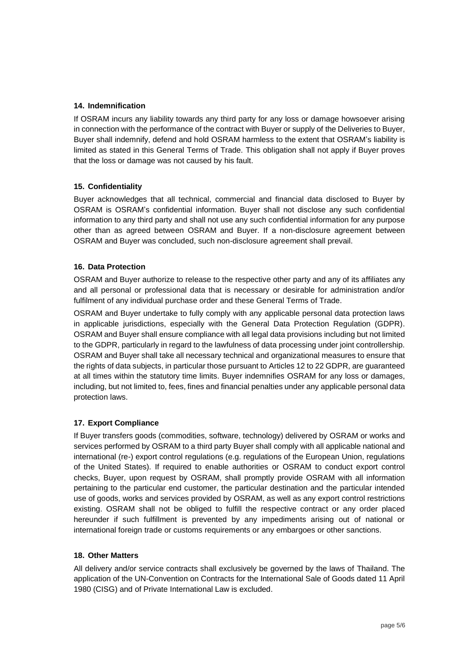## **14. Indemnification**

If OSRAM incurs any liability towards any third party for any loss or damage howsoever arising in connection with the performance of the contract with Buyer or supply of the Deliveries to Buyer, Buyer shall indemnify, defend and hold OSRAM harmless to the extent that OSRAM's liability is limited as stated in this General Terms of Trade. This obligation shall not apply if Buyer proves that the loss or damage was not caused by his fault.

## **15. Confidentiality**

Buyer acknowledges that all technical, commercial and financial data disclosed to Buyer by OSRAM is OSRAM's confidential information. Buyer shall not disclose any such confidential information to any third party and shall not use any such confidential information for any purpose other than as agreed between OSRAM and Buyer. If a non-disclosure agreement between OSRAM and Buyer was concluded, such non-disclosure agreement shall prevail.

## **16. Data Protection**

OSRAM and Buyer authorize to release to the respective other party and any of its affiliates any and all personal or professional data that is necessary or desirable for administration and/or fulfilment of any individual purchase order and these General Terms of Trade.

OSRAM and Buyer undertake to fully comply with any applicable personal data protection laws in applicable jurisdictions, especially with the General Data Protection Regulation (GDPR). OSRAM and Buyer shall ensure compliance with all legal data provisions including but not limited to the GDPR, particularly in regard to the lawfulness of data processing under joint controllership. OSRAM and Buyer shall take all necessary technical and organizational measures to ensure that the rights of data subjects, in particular those pursuant to Articles 12 to 22 GDPR, are guaranteed at all times within the statutory time limits. Buyer indemnifies OSRAM for any loss or damages, including, but not limited to, fees, fines and financial penalties under any applicable personal data protection laws.

# **17. Export Compliance**

If Buyer transfers goods (commodities, software, technology) delivered by OSRAM or works and services performed by OSRAM to a third party Buyer shall comply with all applicable national and international (re-) export control regulations (e.g. regulations of the European Union, regulations of the United States). If required to enable authorities or OSRAM to conduct export control checks, Buyer, upon request by OSRAM, shall promptly provide OSRAM with all information pertaining to the particular end customer, the particular destination and the particular intended use of goods, works and services provided by OSRAM, as well as any export control restrictions existing. OSRAM shall not be obliged to fulfill the respective contract or any order placed hereunder if such fulfillment is prevented by any impediments arising out of national or international foreign trade or customs requirements or any embargoes or other sanctions.

#### **18. Other Matters**

All delivery and/or service contracts shall exclusively be governed by the laws of Thailand. The application of the UN-Convention on Contracts for the International Sale of Goods dated 11 April 1980 (CISG) and of Private International Law is excluded.